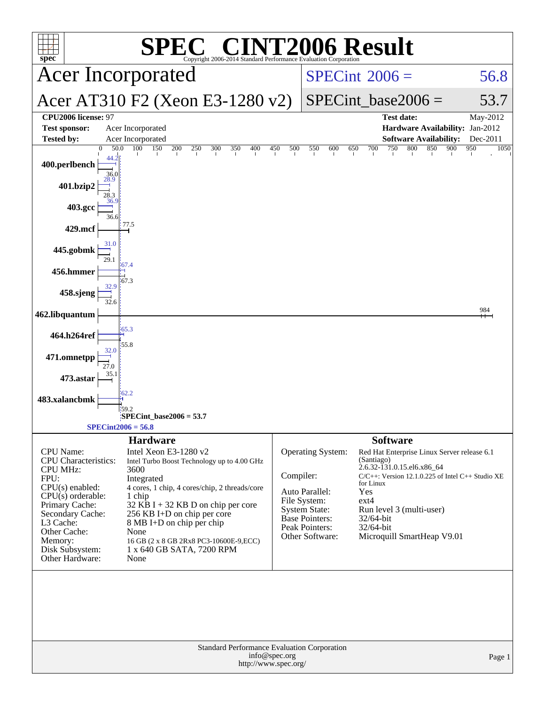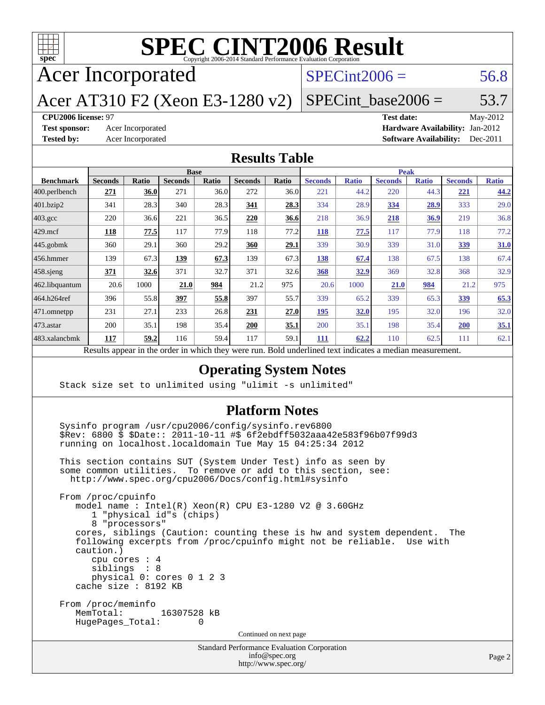

Acer Incorporated

#### $SPECint2006 = 56.8$  $SPECint2006 = 56.8$

Acer AT310 F2 (Xeon E3-1280 v2)

 $SPECTnt\_base2006 = 53.7$ 

#### **[CPU2006 license:](http://www.spec.org/auto/cpu2006/Docs/result-fields.html#CPU2006license)** 97 **[Test date:](http://www.spec.org/auto/cpu2006/Docs/result-fields.html#Testdate)** May-2012

**[Test sponsor:](http://www.spec.org/auto/cpu2006/Docs/result-fields.html#Testsponsor)** Acer Incorporated **Acceleration Acer Incorporated <b>[Hardware Availability:](http://www.spec.org/auto/cpu2006/Docs/result-fields.html#HardwareAvailability)** Jan-2012 **[Tested by:](http://www.spec.org/auto/cpu2006/Docs/result-fields.html#Testedby)** Acer Incorporated **[Software Availability:](http://www.spec.org/auto/cpu2006/Docs/result-fields.html#SoftwareAvailability)** Dec-2011

#### **[Results Table](http://www.spec.org/auto/cpu2006/Docs/result-fields.html#ResultsTable)**

|                  | <b>Base</b>    |       |                |       | <b>Peak</b>    |       |                |              |                |              |                |              |
|------------------|----------------|-------|----------------|-------|----------------|-------|----------------|--------------|----------------|--------------|----------------|--------------|
| <b>Benchmark</b> | <b>Seconds</b> | Ratio | <b>Seconds</b> | Ratio | <b>Seconds</b> | Ratio | <b>Seconds</b> | <b>Ratio</b> | <b>Seconds</b> | <b>Ratio</b> | <b>Seconds</b> | <b>Ratio</b> |
| 400.perlbench    | 271            | 36.0  | 271            | 36.0  | 272            | 36.0  | 221            | 44.2         | 220            | 44.3         | 221            | 44.2         |
| 401.bzip2        | 341            | 28.3  | 340            | 28.3  | 341            | 28.3  | 334            | 28.9         | 334            | 28.9         | 333            | 29.0         |
| $403.\text{gcc}$ | 220            | 36.6  | 221            | 36.5  | 220            | 36.6  | 218            | 36.9         | 218            | 36.9         | 219            | 36.8         |
| $429$ mcf        | 118            | 77.5  | 117            | 77.9  | 118            | 77.2  | <b>118</b>     | 77.5         | 117            | 77.9         | 118            | 77.2         |
| $445$ .gobmk     | 360            | 29.1  | 360            | 29.2  | 360            | 29.1  | 339            | 30.9         | 339            | 31.0         | 339            | 31.0         |
| $ 456$ .hmmer    | 139            | 67.3  | 139            | 67.3  | 139            | 67.3  | 138            | 67.4         | 138            | 67.5         | 138            | 67.4         |
| $458$ .sjeng     | 371            | 32.6  | 371            | 32.7  | 371            | 32.6  | 368            | 32.9         | 369            | 32.8         | 368            | 32.9         |
| 462.libquantum   | 20.6           | 1000  | 21.0           | 984   | 21.2           | 975   | 20.6           | 1000         | 21.0           | 984          | 21.2           | 975          |
| 464.h264ref      | 396            | 55.8  | 397            | 55.8  | 397            | 55.7  | 339            | 65.2         | 339            | 65.3         | 339            | 65.3         |
| 471.omnetpp      | 231            | 27.1  | 233            | 26.8  | 231            | 27.0  | 195            | 32.0         | 195            | 32.0         | 196            | 32.0         |
| $473$ . astar    | 200            | 35.1  | 198            | 35.4  | 200            | 35.1  | 200            | 35.1         | 198            | 35.4         | 200            | 35.1         |
| 483.xalancbmk    | 117            | 59.2  | 116            | 59.4  | 117            | 59.1  | 111            | 62.2         | 110            | 62.5         | 111            | 62.1         |
|                  |                |       |                |       |                |       |                |              |                |              |                |              |

Results appear in the [order in which they were run.](http://www.spec.org/auto/cpu2006/Docs/result-fields.html#RunOrder) Bold underlined text [indicates a median measurement.](http://www.spec.org/auto/cpu2006/Docs/result-fields.html#Median)

#### **[Operating System Notes](http://www.spec.org/auto/cpu2006/Docs/result-fields.html#OperatingSystemNotes)**

Stack size set to unlimited using "ulimit -s unlimited"

#### **[Platform Notes](http://www.spec.org/auto/cpu2006/Docs/result-fields.html#PlatformNotes)**

 Sysinfo program /usr/cpu2006/config/sysinfo.rev6800 \$Rev: 6800 \$ \$Date:: 2011-10-11 #\$ 6f2ebdff5032aaa42e583f96b07f99d3 running on localhost.localdomain Tue May 15 04:25:34 2012

 This section contains SUT (System Under Test) info as seen by some common utilities. To remove or add to this section, see: <http://www.spec.org/cpu2006/Docs/config.html#sysinfo>

 From /proc/cpuinfo model name : Intel(R) Xeon(R) CPU E3-1280 V2 @ 3.60GHz 1 "physical id"s (chips) 8 "processors" cores, siblings (Caution: counting these is hw and system dependent. The following excerpts from /proc/cpuinfo might not be reliable. Use with caution.) cpu cores : 4 siblings : 8 physical 0: cores 0 1 2 3 cache size : 8192 KB From /proc/meminfo<br>MemTotal: 16307528 kB HugePages\_Total: 0 Continued on next page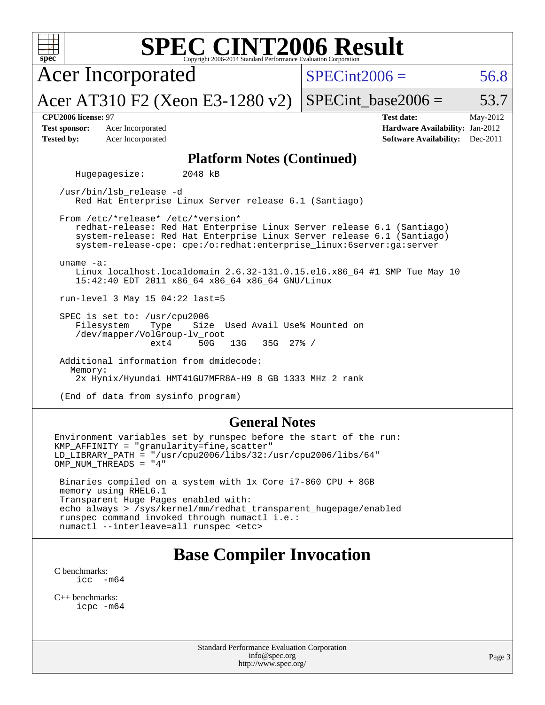| <b>SPEC CINT2006 Result</b><br>spec <sup>®</sup><br>Copyright 2006-2014 Standard Performance Evaluation Corporation                                                                                                                                                                              |                                                                                                               |  |  |  |  |  |  |
|--------------------------------------------------------------------------------------------------------------------------------------------------------------------------------------------------------------------------------------------------------------------------------------------------|---------------------------------------------------------------------------------------------------------------|--|--|--|--|--|--|
| <b>Acer Incorporated</b>                                                                                                                                                                                                                                                                         | $SPECint2006 =$<br>56.8                                                                                       |  |  |  |  |  |  |
| Acer AT310 F2 (Xeon E3-1280 v2)                                                                                                                                                                                                                                                                  | $SPECint\_base2006 =$<br>53.7                                                                                 |  |  |  |  |  |  |
| CPU2006 license: 97<br><b>Test sponsor:</b><br>Acer Incorporated<br><b>Tested by:</b><br>Acer Incorporated                                                                                                                                                                                       | <b>Test date:</b><br>May-2012<br>Hardware Availability: Jan-2012<br><b>Software Availability:</b><br>Dec-2011 |  |  |  |  |  |  |
| <b>Platform Notes (Continued)</b>                                                                                                                                                                                                                                                                |                                                                                                               |  |  |  |  |  |  |
| Hugepagesize:<br>2048 kB                                                                                                                                                                                                                                                                         |                                                                                                               |  |  |  |  |  |  |
| /usr/bin/lsb_release -d<br>Red Hat Enterprise Linux Server release 6.1 (Santiago)                                                                                                                                                                                                                |                                                                                                               |  |  |  |  |  |  |
| From /etc/*release* /etc/*version*<br>redhat-release: Red Hat Enterprise Linux Server release 6.1 (Santiago)<br>system-release: Red Hat Enterprise Linux Server release 6.1 (Santiago)<br>system-release-cpe: cpe:/o:redhat:enterprise_linux:6server:ga:server                                   |                                                                                                               |  |  |  |  |  |  |
| uname $-a$ :<br>Linux localhost.localdomain 2.6.32-131.0.15.el6.x86_64 #1 SMP Tue May 10<br>15:42:40 EDT 2011 x86_64 x86_64 x86_64 GNU/Linux                                                                                                                                                     |                                                                                                               |  |  |  |  |  |  |
| run-level 3 May 15 04:22 last=5                                                                                                                                                                                                                                                                  |                                                                                                               |  |  |  |  |  |  |
| SPEC is set to: /usr/cpu2006<br>Size Used Avail Use% Mounted on<br>Filesystem<br>Type<br>/dev/mapper/VolGroup-lv_root<br>$35G$ $27\%$ /<br>ext4<br>50G<br>13G                                                                                                                                    |                                                                                                               |  |  |  |  |  |  |
| Additional information from dmidecode:<br>Memory:<br>2x Hynix/Hyundai HMT41GU7MFR8A-H9 8 GB 1333 MHz 2 rank                                                                                                                                                                                      |                                                                                                               |  |  |  |  |  |  |
| (End of data from sysinfo program)                                                                                                                                                                                                                                                               |                                                                                                               |  |  |  |  |  |  |
| <b>General Notes</b>                                                                                                                                                                                                                                                                             |                                                                                                               |  |  |  |  |  |  |
| Environment variables set by runspec before the start of the run:<br>KMP_AFFINITY = "granularity=fine, scatter"<br>LD LIBRARY PATH = $\sqrt{usr/cpu2006/libs/32}/usr/cpu2006/libs/64$ "<br>OMP_NUM_THREADS = "4"                                                                                 |                                                                                                               |  |  |  |  |  |  |
| Binaries compiled on a system with 1x Core i7-860 CPU + 8GB<br>memory using RHEL6.1<br>Transparent Huge Pages enabled with:<br>echo always > /sys/kernel/mm/redhat_transparent_hugepage/enabled<br>runspec command invoked through numactl i.e.:<br>numactl --interleave=all runspec <etc></etc> |                                                                                                               |  |  |  |  |  |  |
| <b>Base Compiler Invocation</b>                                                                                                                                                                                                                                                                  |                                                                                                               |  |  |  |  |  |  |

[C benchmarks](http://www.spec.org/auto/cpu2006/Docs/result-fields.html#Cbenchmarks): [icc -m64](http://www.spec.org/cpu2006/results/res2012q3/cpu2006-20120611-22850.flags.html#user_CCbase_intel_icc_64bit_f346026e86af2a669e726fe758c88044)

[C++ benchmarks:](http://www.spec.org/auto/cpu2006/Docs/result-fields.html#CXXbenchmarks) [icpc -m64](http://www.spec.org/cpu2006/results/res2012q3/cpu2006-20120611-22850.flags.html#user_CXXbase_intel_icpc_64bit_fc66a5337ce925472a5c54ad6a0de310)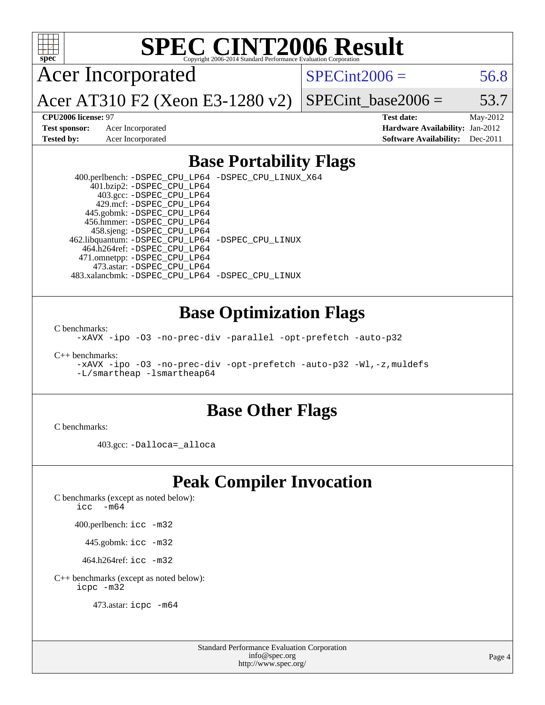

Acer Incorporated

 $SPECint2006 = 56.8$  $SPECint2006 = 56.8$ 

Acer AT310 F2 (Xeon E3-1280 v2)

SPECint base2006 =  $53.7$ 

**[CPU2006 license:](http://www.spec.org/auto/cpu2006/Docs/result-fields.html#CPU2006license)** 97 **[Test date:](http://www.spec.org/auto/cpu2006/Docs/result-fields.html#Testdate)** May-2012 **[Test sponsor:](http://www.spec.org/auto/cpu2006/Docs/result-fields.html#Testsponsor)** Acer Incorporated **[Hardware Availability:](http://www.spec.org/auto/cpu2006/Docs/result-fields.html#HardwareAvailability)** Jan-2012 **[Tested by:](http://www.spec.org/auto/cpu2006/Docs/result-fields.html#Testedby)** Acer Incorporated **[Software Availability:](http://www.spec.org/auto/cpu2006/Docs/result-fields.html#SoftwareAvailability)** Dec-2011

#### **[Base Portability Flags](http://www.spec.org/auto/cpu2006/Docs/result-fields.html#BasePortabilityFlags)**

 400.perlbench: [-DSPEC\\_CPU\\_LP64](http://www.spec.org/cpu2006/results/res2012q3/cpu2006-20120611-22850.flags.html#b400.perlbench_basePORTABILITY_DSPEC_CPU_LP64) [-DSPEC\\_CPU\\_LINUX\\_X64](http://www.spec.org/cpu2006/results/res2012q3/cpu2006-20120611-22850.flags.html#b400.perlbench_baseCPORTABILITY_DSPEC_CPU_LINUX_X64) 401.bzip2: [-DSPEC\\_CPU\\_LP64](http://www.spec.org/cpu2006/results/res2012q3/cpu2006-20120611-22850.flags.html#suite_basePORTABILITY401_bzip2_DSPEC_CPU_LP64) 403.gcc: [-DSPEC\\_CPU\\_LP64](http://www.spec.org/cpu2006/results/res2012q3/cpu2006-20120611-22850.flags.html#suite_basePORTABILITY403_gcc_DSPEC_CPU_LP64) 429.mcf: [-DSPEC\\_CPU\\_LP64](http://www.spec.org/cpu2006/results/res2012q3/cpu2006-20120611-22850.flags.html#suite_basePORTABILITY429_mcf_DSPEC_CPU_LP64) 445.gobmk: [-DSPEC\\_CPU\\_LP64](http://www.spec.org/cpu2006/results/res2012q3/cpu2006-20120611-22850.flags.html#suite_basePORTABILITY445_gobmk_DSPEC_CPU_LP64) 456.hmmer: [-DSPEC\\_CPU\\_LP64](http://www.spec.org/cpu2006/results/res2012q3/cpu2006-20120611-22850.flags.html#suite_basePORTABILITY456_hmmer_DSPEC_CPU_LP64) 458.sjeng: [-DSPEC\\_CPU\\_LP64](http://www.spec.org/cpu2006/results/res2012q3/cpu2006-20120611-22850.flags.html#suite_basePORTABILITY458_sjeng_DSPEC_CPU_LP64) 462.libquantum: [-DSPEC\\_CPU\\_LP64](http://www.spec.org/cpu2006/results/res2012q3/cpu2006-20120611-22850.flags.html#suite_basePORTABILITY462_libquantum_DSPEC_CPU_LP64) [-DSPEC\\_CPU\\_LINUX](http://www.spec.org/cpu2006/results/res2012q3/cpu2006-20120611-22850.flags.html#b462.libquantum_baseCPORTABILITY_DSPEC_CPU_LINUX) 464.h264ref: [-DSPEC\\_CPU\\_LP64](http://www.spec.org/cpu2006/results/res2012q3/cpu2006-20120611-22850.flags.html#suite_basePORTABILITY464_h264ref_DSPEC_CPU_LP64) 471.omnetpp: [-DSPEC\\_CPU\\_LP64](http://www.spec.org/cpu2006/results/res2012q3/cpu2006-20120611-22850.flags.html#suite_basePORTABILITY471_omnetpp_DSPEC_CPU_LP64) 473.astar: [-DSPEC\\_CPU\\_LP64](http://www.spec.org/cpu2006/results/res2012q3/cpu2006-20120611-22850.flags.html#suite_basePORTABILITY473_astar_DSPEC_CPU_LP64) 483.xalancbmk: [-DSPEC\\_CPU\\_LP64](http://www.spec.org/cpu2006/results/res2012q3/cpu2006-20120611-22850.flags.html#suite_basePORTABILITY483_xalancbmk_DSPEC_CPU_LP64) [-DSPEC\\_CPU\\_LINUX](http://www.spec.org/cpu2006/results/res2012q3/cpu2006-20120611-22850.flags.html#b483.xalancbmk_baseCXXPORTABILITY_DSPEC_CPU_LINUX)

#### **[Base Optimization Flags](http://www.spec.org/auto/cpu2006/Docs/result-fields.html#BaseOptimizationFlags)**

[C benchmarks](http://www.spec.org/auto/cpu2006/Docs/result-fields.html#Cbenchmarks):

[-xAVX](http://www.spec.org/cpu2006/results/res2012q3/cpu2006-20120611-22850.flags.html#user_CCbase_f-xAVX) [-ipo](http://www.spec.org/cpu2006/results/res2012q3/cpu2006-20120611-22850.flags.html#user_CCbase_f-ipo) [-O3](http://www.spec.org/cpu2006/results/res2012q3/cpu2006-20120611-22850.flags.html#user_CCbase_f-O3) [-no-prec-div](http://www.spec.org/cpu2006/results/res2012q3/cpu2006-20120611-22850.flags.html#user_CCbase_f-no-prec-div) [-parallel](http://www.spec.org/cpu2006/results/res2012q3/cpu2006-20120611-22850.flags.html#user_CCbase_f-parallel) [-opt-prefetch](http://www.spec.org/cpu2006/results/res2012q3/cpu2006-20120611-22850.flags.html#user_CCbase_f-opt-prefetch) [-auto-p32](http://www.spec.org/cpu2006/results/res2012q3/cpu2006-20120611-22850.flags.html#user_CCbase_f-auto-p32)

[C++ benchmarks:](http://www.spec.org/auto/cpu2006/Docs/result-fields.html#CXXbenchmarks)

[-xAVX](http://www.spec.org/cpu2006/results/res2012q3/cpu2006-20120611-22850.flags.html#user_CXXbase_f-xAVX) [-ipo](http://www.spec.org/cpu2006/results/res2012q3/cpu2006-20120611-22850.flags.html#user_CXXbase_f-ipo) [-O3](http://www.spec.org/cpu2006/results/res2012q3/cpu2006-20120611-22850.flags.html#user_CXXbase_f-O3) [-no-prec-div](http://www.spec.org/cpu2006/results/res2012q3/cpu2006-20120611-22850.flags.html#user_CXXbase_f-no-prec-div) [-opt-prefetch](http://www.spec.org/cpu2006/results/res2012q3/cpu2006-20120611-22850.flags.html#user_CXXbase_f-opt-prefetch) [-auto-p32](http://www.spec.org/cpu2006/results/res2012q3/cpu2006-20120611-22850.flags.html#user_CXXbase_f-auto-p32) [-Wl,-z,muldefs](http://www.spec.org/cpu2006/results/res2012q3/cpu2006-20120611-22850.flags.html#user_CXXbase_link_force_multiple1_74079c344b956b9658436fd1b6dd3a8a) [-L/smartheap -lsmartheap64](http://www.spec.org/cpu2006/results/res2012q3/cpu2006-20120611-22850.flags.html#user_CXXbase_SmartHeap64_5e654037dadeae1fe403ab4b4466e60b)

#### **[Base Other Flags](http://www.spec.org/auto/cpu2006/Docs/result-fields.html#BaseOtherFlags)**

[C benchmarks](http://www.spec.org/auto/cpu2006/Docs/result-fields.html#Cbenchmarks):

403.gcc: [-Dalloca=\\_alloca](http://www.spec.org/cpu2006/results/res2012q3/cpu2006-20120611-22850.flags.html#b403.gcc_baseEXTRA_CFLAGS_Dalloca_be3056838c12de2578596ca5467af7f3)

#### **[Peak Compiler Invocation](http://www.spec.org/auto/cpu2006/Docs/result-fields.html#PeakCompilerInvocation)**

[C benchmarks \(except as noted below\)](http://www.spec.org/auto/cpu2006/Docs/result-fields.html#Cbenchmarksexceptasnotedbelow):

[icc -m64](http://www.spec.org/cpu2006/results/res2012q3/cpu2006-20120611-22850.flags.html#user_CCpeak_intel_icc_64bit_f346026e86af2a669e726fe758c88044)

400.perlbench: [icc -m32](http://www.spec.org/cpu2006/results/res2012q3/cpu2006-20120611-22850.flags.html#user_peakCCLD400_perlbench_intel_icc_a6a621f8d50482236b970c6ac5f55f93)

445.gobmk: [icc -m32](http://www.spec.org/cpu2006/results/res2012q3/cpu2006-20120611-22850.flags.html#user_peakCCLD445_gobmk_intel_icc_a6a621f8d50482236b970c6ac5f55f93)

464.h264ref: [icc -m32](http://www.spec.org/cpu2006/results/res2012q3/cpu2006-20120611-22850.flags.html#user_peakCCLD464_h264ref_intel_icc_a6a621f8d50482236b970c6ac5f55f93)

[C++ benchmarks \(except as noted below\):](http://www.spec.org/auto/cpu2006/Docs/result-fields.html#CXXbenchmarksexceptasnotedbelow) [icpc -m32](http://www.spec.org/cpu2006/results/res2012q3/cpu2006-20120611-22850.flags.html#user_CXXpeak_intel_icpc_4e5a5ef1a53fd332b3c49e69c3330699)

473.astar: [icpc -m64](http://www.spec.org/cpu2006/results/res2012q3/cpu2006-20120611-22850.flags.html#user_peakCXXLD473_astar_intel_icpc_64bit_fc66a5337ce925472a5c54ad6a0de310)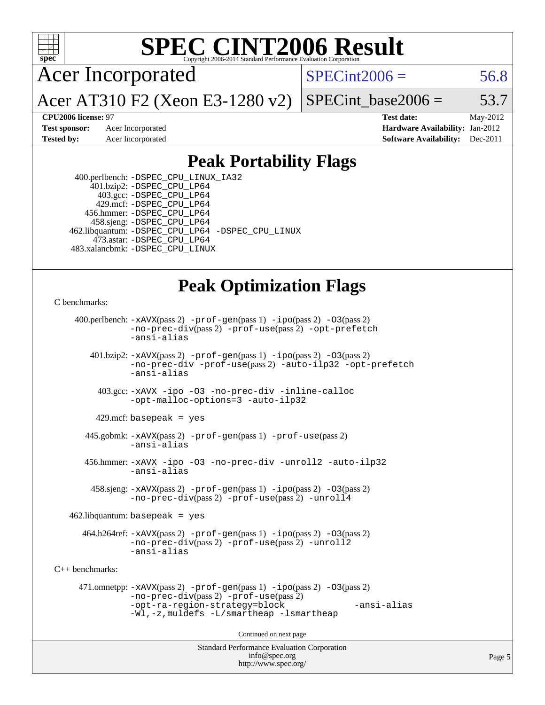

Acer Incorporated

 $SPECTnt2006 = 56.8$ 

Acer AT310 F2 (Xeon E3-1280 v2)

SPECint base2006 =  $53.7$ 

**[CPU2006 license:](http://www.spec.org/auto/cpu2006/Docs/result-fields.html#CPU2006license)** 97 **[Test date:](http://www.spec.org/auto/cpu2006/Docs/result-fields.html#Testdate)** May-2012 **[Test sponsor:](http://www.spec.org/auto/cpu2006/Docs/result-fields.html#Testsponsor)** Acer Incorporated **[Hardware Availability:](http://www.spec.org/auto/cpu2006/Docs/result-fields.html#HardwareAvailability)** Jan-2012 **[Tested by:](http://www.spec.org/auto/cpu2006/Docs/result-fields.html#Testedby)** Acer Incorporated **[Software Availability:](http://www.spec.org/auto/cpu2006/Docs/result-fields.html#SoftwareAvailability)** Dec-2011

#### **[Peak Portability Flags](http://www.spec.org/auto/cpu2006/Docs/result-fields.html#PeakPortabilityFlags)**

 400.perlbench: [-DSPEC\\_CPU\\_LINUX\\_IA32](http://www.spec.org/cpu2006/results/res2012q3/cpu2006-20120611-22850.flags.html#b400.perlbench_peakCPORTABILITY_DSPEC_CPU_LINUX_IA32) 401.bzip2: [-DSPEC\\_CPU\\_LP64](http://www.spec.org/cpu2006/results/res2012q3/cpu2006-20120611-22850.flags.html#suite_peakPORTABILITY401_bzip2_DSPEC_CPU_LP64) 403.gcc: [-DSPEC\\_CPU\\_LP64](http://www.spec.org/cpu2006/results/res2012q3/cpu2006-20120611-22850.flags.html#suite_peakPORTABILITY403_gcc_DSPEC_CPU_LP64) 429.mcf: [-DSPEC\\_CPU\\_LP64](http://www.spec.org/cpu2006/results/res2012q3/cpu2006-20120611-22850.flags.html#suite_peakPORTABILITY429_mcf_DSPEC_CPU_LP64) 456.hmmer: [-DSPEC\\_CPU\\_LP64](http://www.spec.org/cpu2006/results/res2012q3/cpu2006-20120611-22850.flags.html#suite_peakPORTABILITY456_hmmer_DSPEC_CPU_LP64) 458.sjeng: [-DSPEC\\_CPU\\_LP64](http://www.spec.org/cpu2006/results/res2012q3/cpu2006-20120611-22850.flags.html#suite_peakPORTABILITY458_sjeng_DSPEC_CPU_LP64) 462.libquantum: [-DSPEC\\_CPU\\_LP64](http://www.spec.org/cpu2006/results/res2012q3/cpu2006-20120611-22850.flags.html#suite_peakPORTABILITY462_libquantum_DSPEC_CPU_LP64) [-DSPEC\\_CPU\\_LINUX](http://www.spec.org/cpu2006/results/res2012q3/cpu2006-20120611-22850.flags.html#b462.libquantum_peakCPORTABILITY_DSPEC_CPU_LINUX) 473.astar: [-DSPEC\\_CPU\\_LP64](http://www.spec.org/cpu2006/results/res2012q3/cpu2006-20120611-22850.flags.html#suite_peakPORTABILITY473_astar_DSPEC_CPU_LP64) 483.xalancbmk: [-DSPEC\\_CPU\\_LINUX](http://www.spec.org/cpu2006/results/res2012q3/cpu2006-20120611-22850.flags.html#b483.xalancbmk_peakCXXPORTABILITY_DSPEC_CPU_LINUX)

### **[Peak Optimization Flags](http://www.spec.org/auto/cpu2006/Docs/result-fields.html#PeakOptimizationFlags)**

```
C benchmarks:
```

```
Standard Performance Evaluation Corporation
                                          info@spec.org
     400.perlbench: -xAVX(pass 2) -prof-gen(pass 1) -ipo(pass 2) -O3(pass 2)
                -no-prec-div(pass 2) -prof-use(pass 2) -opt-prefetch
                -ansi-alias
        401.bzip2: -xAVX(pass 2) -prof-gen(pass 1) -ipo(pass 2) -O3(pass 2)
                -no-prec-div -prof-use(pass 2) -auto-ilp32 -opt-prefetch
                -ansi-alias
          403.gcc: -xAVX -ipo -O3 -no-prec-div -inline-calloc
                -opt-malloc-options=3 -auto-ilp32
         429.mcf: basepeak = yes
       445.gobmk: -xAVX(pass 2) -prof-gen(pass 1) -prof-use(pass 2)
                -ansi-alias
       456.hmmer: -xAVX -ipo -O3 -no-prec-div -unroll2 -auto-ilp32
                -ansi-alias
         458.sjeng: -xAVX(pass 2) -prof-gen(pass 1) -ipo(pass 2) -O3(pass 2)
                -no-prec-div(pass 2) -prof-use(pass 2) -unroll4
    462.libquantum: basepeak = yes
       464.h264ref: -xAVX(pass 2) -prof-gen(pass 1) -ipo(pass 2) -O3(pass 2)
                -no-prec-div(pass 2) -prof-use(pass 2) -unroll2
                -ansi-alias
C++ benchmarks: 
      471.omnetpp: -xAVX(pass 2) -prof-gen(pass 1) -ipo(pass 2) -O3(pass 2)
                -no-prec-div(pass 2) -prof-use(pass 2)
                -opt-ra-region-strategy=block -ansi-alias
                -Wl,-z,muldefs -L/smartheap -lsmartheap
                                        Continued on next page
```
<http://www.spec.org/>